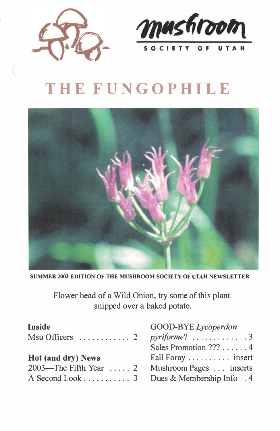



# **THE FUNGOPHILE**



**SUMMER 2003 EDITION OF THE MUSHROOM SOCIETY OF UTAH NEWSLETTER** 

Flower head of a Wild Onion, try some of this plant snipped over a baked potato.

| <b>Inside</b>                                  | GOOD-BYE Lycoperdon   |
|------------------------------------------------|-----------------------|
| $Msu$ Officers $\ldots \ldots \ldots 2$        |                       |
|                                                | Sales Promotion ??? 4 |
| Hot (and dry) News                             | Fall Foray  insert    |
| 2003—The Fifth Year  2 Mushroom Pages  inserts |                       |
| A Second Look 3 Dues & Membership Info . 4     |                       |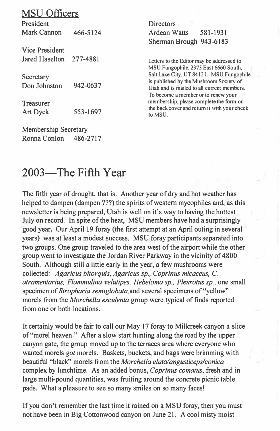#### MSU Officers

President Mark Cannon 466-5124

Vice President Jared Haselton 277-4881

**Secretary** Don Johnston 942-0637

Treasurer Art Dyck 553-1697

Membership Secretary Ronna Conlon 486-2717 **Directors** Ardean Watts 581-1931 Sherman Brough 943-6183

**Letters to the Editor may be addressed to MSU Fungophile, 2373 East 6660 South, Salt Lake City, UT 84121. MSU Fungophile is published by the Mushroom Society of Utah and is mailed to all current members. To become a member or to renew your membership, please complete the form on the back cover and return it with your check**  to MSU.

# 2003—The Fifth Year

The fifth year of drought, that is. Another year of **dry** and hot weather has helped to dampen (dampen ???) the spirits of western mycophiles and, as this newsletter is being prepared, Utah is well on it's way to having the hottest July on record. In spite of the heat, MSU members have had a surprisingly good year. Our April 19 foray (the first attempt at an April outing in several years) was at least a modest success. MSU foray participants separated into two groups. One group traveled to the area west of the airport while the other group went to investigate the Jordan River Parkway in the vicinity of 4800 South. Although still a little early in the year, a few mushrooms were collected: *Agaricus bitorquis, Agaricus sp., Coprinus micaceus,* C. *atramentarius, Flammulina velutipes, Hebeloma sp., Pleurotus sp.,* one small specimen of *Stropharia semiglobata,* and several specimens of "yellow" morels from the *Morchel/a esculenta* group were typical of finds reported from one or both locations.

It certainly would be fair to call our May 17 foray to Millcreek canyon a slice of"morel heaven." After a slow start hunting along the road by the upper canyon gate, the group moved up to the terraces area where everyone who wanted morels *got* morels. Baskets, buckets, and bags were brimming with beautiful "black" morels from the *Morchella elatalangusticepslconica*  complex by lunchtime. As an added bonus, *Coprinus comatus,* fresh and in large multi-pound quantities, was fruiting around the concrete picnic table pads. What a pleasure to see so many smiles on so many faces!

If you don't remember the last time it rained on a MSU foray, then you must not have been in Big Cottonwood canyon on June 21. A cool misty moist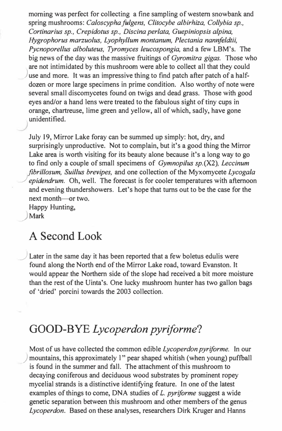morning was perfect for collecting a fine sampling of western snowbank and spring mushrooms: *Caloscypha fulgens, Clitocybe albirhiza, Collybia sp., Cortinarius sp., Crepidotus sp., Discina perlata, Guepiniopsis alpina, Hygrophorus marzuolus, Lyophyllum montanum, Plectania nannfe/dtii, Pycnoporellus alboluteus, Tyromyces leucospongia,* and a few LBM's. The big news of the day was the massive fruitings of *Gyromitra gigas.* Those who are not intimidated by this mushroom were able to collect all that they could use and more. It was an impressive thing to find patch after patch of a halfdozen or more large specimens in prime condition. Also worthy of note were several small discomycetes found on twigs and dead grass. Those with good eyes and/or a hand lens were treated to the fabulous sight of tiny cups in orange, chartreuse, lime green and yellow, all of which, sadly, have gone unidentified.

July 19, Mirror Lake foray can be summed up simply: hot, dry, and surprisingly unproductive. Not to complain, but it's a good thing the Mirror Lake area is worth visiting for its beauty alone because it's a long way to go to find only a couple of small specimens of *Gym no pi/us sp.* (X2), *Leccinum fibrillosum, Suillus brevipes,* and one collection of the Myxomycete *Lycogala*  epidendrum. Oh, well. The forecast is for cooler temperatures with afternoon and evening thundershowers. Let's hope that turns out to be the case for the next month-or two. Happy Hunting,

**)Mark** 

)

#### **A Second Look**

Later in the same day it has been reported that a few boletus edulis were found along the North end of the Mirror Lake road, toward Evanston. It would appear the Northern side of the slope had received a bit more moisture than the rest of the Uinta's. One lucky mushroom hunter has two gallon bags of 'dried' porcini towards the 2003 collection.

# **GOOD-BYE** *Lycoperdon pyriforme?*

Most of us have collected the common edible *Lycoperdon pyriforme.* In our ) mountains, this approximately l" pear shaped whitish (when young) puffball is found in the summer and fall. The attachment of this mushroom to decaying coniferous and deciduous wood substrates by prominent ropey mycelial strands is a distinctive identifying feature. In one of the latest examples of things to come, DNA studies of *L. pyriforme* suggest a wide genetic separation between this mushroom and other members of the genus *Lycoperdon.* Based on these analyses, researchers Dirk Kruger and Hanns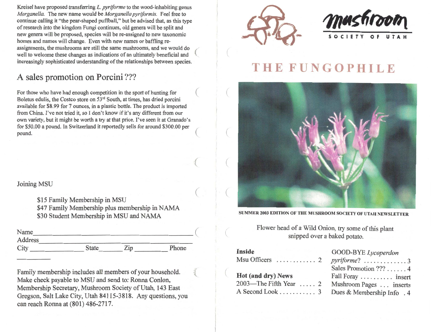Kreisel have proposed transferring L. pyriforme to the wood-inhabiting genus Morganella. The new name would be Morganella pyriformis. Feel free to continue calling it "the pear-shaped puffball," but be advised that, as this type of research into the kingdom Fungi continues, old genera will be split and new genera will be proposed, species will be re-assigned to new taxonomic homes and names will change. Even with new names or baffling reassignments, the mushrooms are still the same mushrooms, and we would do well to welcome these changes as indications of an ultimately beneficial and increasingly sophisticated understanding of the relationships between species.

### A sales promotion on Porcini???

For those who have had enough competition in the sport of hunting for Boletus edulis, the Costco store on 53<sup>rd</sup> South, at times, has dried porcini available for \$8.99 for 7 ounces, in a plastic bottle. The product is imported from China. I've not tried it, so I don't know if it's any different from our own variety, but it might be worth a try at that price. I've seen it at Granado's for \$50.00 a pound. In Switzerland it reportedly sells for around \$300.00 per pound.

#### Joining MSU

\$15 Family Membership in MSU \$47 Family Membership plus membership in NAMA \$30 Student Membership in MSU and NAMA

| Name    |              |     |       |
|---------|--------------|-----|-------|
| Address |              |     |       |
| City    | <b>State</b> | Zip | Phone |

Family membership includes all members of your household. Make check payable to MSU and send to: Ronna Conlon, Membership Secretary, Mushroom Society of Utah, 143 East Gregson, Salt Lake City, Utah 84115-3818. Any questions, you can reach Ronna at (801) 486-2717.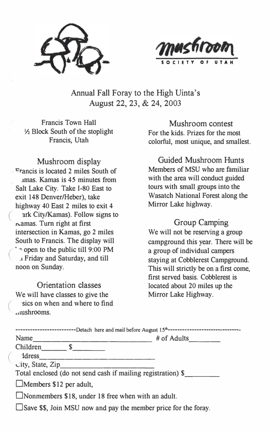



Annual Fall Foray to the High Uinta's August 22, 23, & 24, 2003

Francis Town Hall ½ Block South of the stoplight Francis, Utah

Mushroom display  $r_{\text{rancis}}$  is located 2 miles South of .unas. Kamas is 45 minutes from Salt Lake City. Take 1-80 East to exit 148 Denver/Heber), take highway 40 East 2 miles to exit 4 ark City/Kamas). Follow signs to  $r$ amas. Turn right at first intersection in Kamas, go 2 miles South to Francis. The display will  $\cdot$   $\circ$  open to the public till 9:00 PM *.1* Friday and Saturday, and till noon on Sunday.

Orientation classes We will have classes to give the sics on when and where to find .. mshrooms.

Mushroom contest For the kids. Prizes for the most colorful, most unique, and smallest.

Guided Mushroom Hunts Members of MSU who are familiar with the area will conduct guided tours with small groups into the Wasatch National Forest along the Mirror Lake highway.

Group Camping We will not be reserving a group campground this year. There will be a group of individual campers staying at Cobblerest Campground. This will strictly be on a first come, first served basis. Cobblerest is located about 20 miles up the Mirror Lake Highway.

| Name                           | -Detach here and mail before August 15 <sup>th</sup> ----------------------<br># of Adults |
|--------------------------------|--------------------------------------------------------------------------------------------|
| Children \$                    |                                                                                            |
| ddress                         |                                                                                            |
| $city$ , State, Zip            |                                                                                            |
|                                | Total enclosed (do not send cash if mailing registration) \$                               |
| $\Box$ Members \$12 per adult, |                                                                                            |
|                                | $\Box$ Nonmembers \$18, under 18 free when with an adult.                                  |
|                                | □ Save \$\$, Join MSU now and pay the member price for the foray.                          |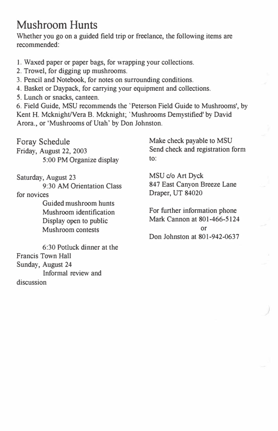# **Mushroom Hunts**

Whether you go on a guided field trip or freelance, the following items are recommended:

1. Waxed paper or paper bags, for wrapping your collections.

2. Trowel, for digging up mushrooms.

3. Pencil and Notebook, for notes on surrounding conditions.

4. Basket or Daypack, for carrying your equipment and collections.

5. Lunch or snacks, canteen.

6. Field Guide, MSU recommends the 'Peterson Field Guide to Mushrooms', by Kent H. Mcknight/Vera B. Mcknight; 'Mushrooms Demystified' by David Arora., or 'Mushrooms of Utah' by Don Johnston.

Foray Schedule Friday, August 22, 2003 5 :00 PM Organize display Make check payable to MSU Send check and registration form to:

Saturday, August 23 9:30 AM Orientation Class for novices

> Guided mushroom hunts Mushroom identification Display open to public Mushroom contests

6:30 Potluck dinner at the Francis Town Hall Sunday, August 24 Informal review and discussion

MSU c/o Art Dyck 847 East Canyon Breeze Lane Draper, UT 84020

For further information phone Mark Cannon at 801-466-5124 or Don Johnston at 801-942-0637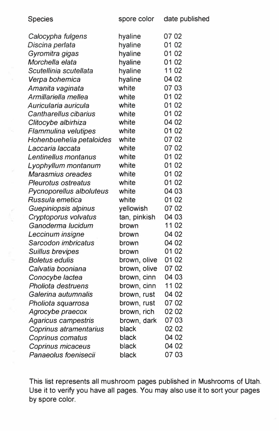| Species                  | spore color  | date published |
|--------------------------|--------------|----------------|
| Calocypha fulgens        | hyaline      | 07 02          |
| Discina perlata          | hyaline      | 01 02          |
| Gyromitra gigas          | hyaline      | 01 02          |
| Morchella elata          | hyaline      | 01 02          |
| Scutellinia scutellata   | hyaline      | 11 02          |
| Verpa bohemica           | hyaline      | 04 02          |
| Amanita vaginata         | white        | 07 03          |
| Armillariella mellea     | white        | 01 02          |
| Auricularia auricula     | white        | 01 02          |
| Cantharellus cibarius    | white        | 01 02          |
| Clitocybe albirhiza      | white        | 04 02          |
| Flammulina velutipes     | white        | 01 02          |
| Hohenbuehelia petaloides | white        | 07 02          |
| Laccaria laccata         | white        | 07 02          |
| Lentinellus montanus     | white        | 01 02          |
| Lyophyllum montanum      | white        | 01 02          |
| Marasmius oreades        | white        | 01 02          |
| Pleurotus ostreatus      | white        | 01 02          |
| Pycnoporellus alboluteus | white        | 04 03          |
| Russula emetica          | white        | 01 02          |
| Guepiniopsis alpinus     | yellowish    | 07 02          |
| Cryptoporus volvatus     | tan, pinkish | 04 03          |
| Ganoderma lucidum        | brown        | 11 02          |
| Leccinum insigne         | brown        | 04 02          |
| Sarcodon imbricatus      | brown        | 04 02          |
| Suillus brevipes         | brown        | 01 02          |
| Boletus edulis           | brown, olive | 01 02          |
| Calvatia booniana        | brown, olive | 07 02          |
| Conocybe lactea          | brown, cinn  | 04 03          |
| Pholiota destruens       | brown, cinn  | 1102           |
| Galerina autumnalis      | brown, rust  | 04 02          |
| Pholiota squarrosa       | brown, rust  | 07 02          |
| Agrocybe praecox         | brown, rich  | 02 02          |
| Agaricus campestris      | brown, dark  | 0703           |
| Coprinus atramentarius   | black        | 02 02          |
| Coprinus comatus         | black        | 04 02          |
| Coprinus micaceus        | black        | 04 02          |
| Panaeolus foenisecii     | black        | 07 03          |

This list represents all mushroom pages published in Mushrooms of Utah. Use it to verify you have all pages. You may also use it to sort your pages by spore color.